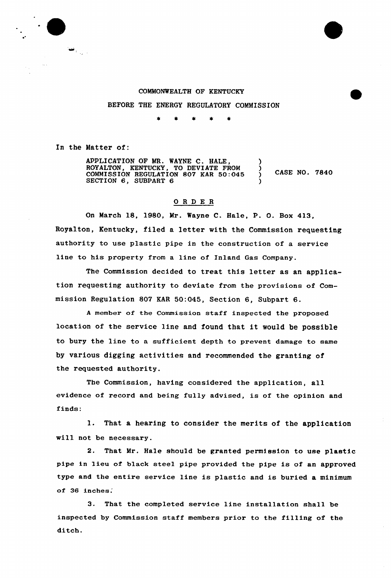## COMMONWEALTH OF KENTUCKY

BEFORE THE ENERGY REGULATORY COMMISSION

In the Matter of:

 $\frac{\partial \mathbf{w}}{\partial \mathbf{w}} = \frac{1}{\sqrt{2}} \mathbf{w} \mathbf{w}$ 

APPLICATION OF MR. WAYNE C. HALE, ROYALTON, KENTUCKY, TO DEVIATE FROM COMMISSION REGULATION 807 KAR 50:045 SECTION 6, SUBPART 6 ) ) CASE NO. 7840 )

## ORDER

On March 18, 1980, Mr. Wayne C. Hale, P. O. Box 413, Royalton, Kentucky, filed a letter with the Commission requesting authority to use plastic pipe in the construction of a service line to his property from a line of Inland Gas Company.

The Commission decided to treat this letter as an application requesting authority to deviate from the provisions of Commission Regulation 807 KAR 50:045, Section 6, Subpart 6.

A member of the Commission staff inspected the proposed location of the service line and found that it would be possible to bury the line to a sufficient depth to prevent damage to same by various digging activities and recommended the granting of the requested authority.

The Commission, having considered the application, all evidence of record and being fully advised, is of the opinion and finds:

1. That a hearing to consider the merits of the application will not be necessary.

2. That Mr. Hale should be granted permission to use plastic pipe in lieu of black steel pipe provided the pipe is of an approved type and the entire service line is plastic and is buried a minimum of 36 inches.

3. That the completed service line installation shall be inspected by Commission staff members prior to the filling of the ditch.